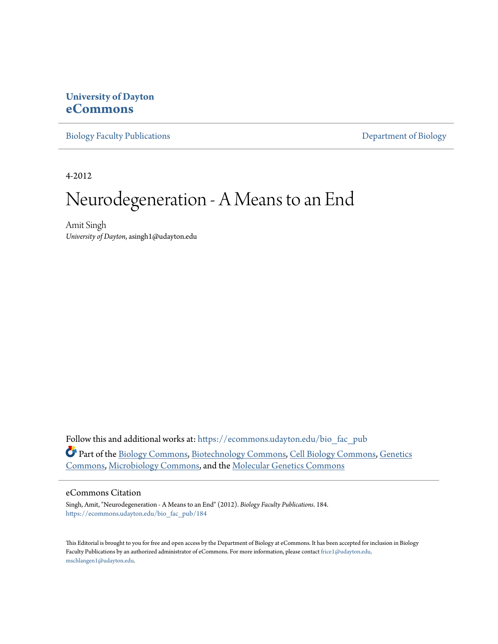### **University of Dayton [eCommons](https://ecommons.udayton.edu?utm_source=ecommons.udayton.edu%2Fbio_fac_pub%2F184&utm_medium=PDF&utm_campaign=PDFCoverPages)**

[Biology Faculty Publications](https://ecommons.udayton.edu/bio_fac_pub?utm_source=ecommons.udayton.edu%2Fbio_fac_pub%2F184&utm_medium=PDF&utm_campaign=PDFCoverPages) **[Department of Biology](https://ecommons.udayton.edu/bio?utm_source=ecommons.udayton.edu%2Fbio_fac_pub%2F184&utm_medium=PDF&utm_campaign=PDFCoverPages)** 

4-2012

# Neurodegeneration - A Means to an End

Amit Singh *University of Dayton*, asingh1@udayton.edu

Follow this and additional works at: [https://ecommons.udayton.edu/bio\\_fac\\_pub](https://ecommons.udayton.edu/bio_fac_pub?utm_source=ecommons.udayton.edu%2Fbio_fac_pub%2F184&utm_medium=PDF&utm_campaign=PDFCoverPages) Part of the [Biology Commons,](http://network.bepress.com/hgg/discipline/41?utm_source=ecommons.udayton.edu%2Fbio_fac_pub%2F184&utm_medium=PDF&utm_campaign=PDFCoverPages) [Biotechnology Commons,](http://network.bepress.com/hgg/discipline/111?utm_source=ecommons.udayton.edu%2Fbio_fac_pub%2F184&utm_medium=PDF&utm_campaign=PDFCoverPages) [Cell Biology Commons](http://network.bepress.com/hgg/discipline/10?utm_source=ecommons.udayton.edu%2Fbio_fac_pub%2F184&utm_medium=PDF&utm_campaign=PDFCoverPages), [Genetics](http://network.bepress.com/hgg/discipline/29?utm_source=ecommons.udayton.edu%2Fbio_fac_pub%2F184&utm_medium=PDF&utm_campaign=PDFCoverPages) [Commons,](http://network.bepress.com/hgg/discipline/29?utm_source=ecommons.udayton.edu%2Fbio_fac_pub%2F184&utm_medium=PDF&utm_campaign=PDFCoverPages) [Microbiology Commons](http://network.bepress.com/hgg/discipline/48?utm_source=ecommons.udayton.edu%2Fbio_fac_pub%2F184&utm_medium=PDF&utm_campaign=PDFCoverPages), and the [Molecular Genetics Commons](http://network.bepress.com/hgg/discipline/31?utm_source=ecommons.udayton.edu%2Fbio_fac_pub%2F184&utm_medium=PDF&utm_campaign=PDFCoverPages)

#### eCommons Citation

Singh, Amit, "Neurodegeneration - A Means to an End" (2012). *Biology Faculty Publications*. 184. [https://ecommons.udayton.edu/bio\\_fac\\_pub/184](https://ecommons.udayton.edu/bio_fac_pub/184?utm_source=ecommons.udayton.edu%2Fbio_fac_pub%2F184&utm_medium=PDF&utm_campaign=PDFCoverPages)

This Editorial is brought to you for free and open access by the Department of Biology at eCommons. It has been accepted for inclusion in Biology Faculty Publications by an authorized administrator of eCommons. For more information, please contact [frice1@udayton.edu,](mailto:frice1@udayton.edu,%20mschlangen1@udayton.edu) [mschlangen1@udayton.edu.](mailto:frice1@udayton.edu,%20mschlangen1@udayton.edu)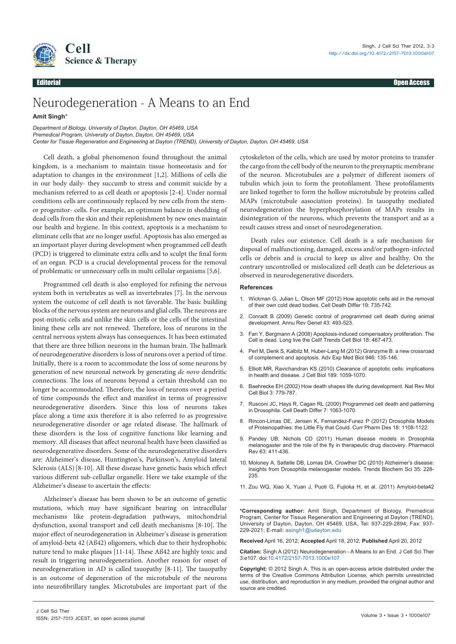

Editorial Open Access

## Neurodegeneration - A Means to an End

#### **Amit Singh\***

*Department of Biology, University of Dayton, Dayton, OH 45469, USA Premedical Program, University of Dayton, Dayton, OH 45469, USA Center for Tissue Regeneration and Engineering at Dayton (TREND), University of Dayton, Dayton, OH 45469, USA*

Cell death, a global phenomenon found throughout the animal kingdom, is a mechanism to maintain tissue homeostasis and for adaptation to changes in the environment [1,2]. Millions of cells die in our body daily- they succumb to stress and commit suicide by a mechanism referred to as cell death or apoptosis [2-4]. Under normal conditions cells are continuously replaced by new cells from the stemor progenitor- cells. For example, an optimum balance in shedding of dead cells from the skin and their replenishment by new ones maintain our health and hygiene. In this context, apoptosis is a mechanism to eliminate cells that are no longer useful. Apoptosis has also emerged as an important player during development when programmed cell death (PCD) is triggered to eliminate extra cells and to sculpt the final form of an organ. PCD is a crucial developmental process for the removal of problematic or unnecessary cells in multi cellular organisms [5,6].

Programmed cell death is also employed for refining the nervous system both in vertebrates as well as invertebrates [7]. In the nervous system the outcome of cell death is not favorable. The basic building blocks of the nervous system are neurons and glial cells. The neurons are post-mitotic cells and unlike the skin cells or the cells of the intestinal lining these cells are not renewed. Therefore, loss of neurons in the central nervous system always has consequences. It has been estimated that there are three billion neurons in the human brain. The hallmark of neurodegenerative disorders is loss of neurons over a period of time. Initially, there is a room to accommodate the loss of some neurons by generation of new neuronal network by generating *de novo* dendritic connections. The loss of neurons beyond a certain threshold can no longer be accommodated. Therefore, the loss of neurons over a period of time compounds the effect and manifest in terms of progressive neurodegenerative disorders. Since this loss of neurons takes place along a time axis therefore it is also referred to as progressive neurodegenerative disorder or age related disease. The hallmark of these disorders is the loss of cognitive functions like learning and memory. All diseases that affect neuronal health have been classified as neurodegenerative disorders. Some of the neurodegenerative disorders are: Alzheimer's disease, Huntington's, Parkinson's, Amyloid lateral Sclerosis (ALS)<sup>[8-10]</sup>. All these disease have genetic basis which effect various different sub-cellullar organelle. Here we take example of the Alzheimer's disease to ascertain the effects:

Alzheimer's disease has been shown to be an outcome of genetic mutations, which may have significant bearing on intracellular mechanisms like protein-degradation pathways, mitochondrial dysfunction, axonal transport and cell death mechanisms [8-10]. The major effect of neurodegeneration in Alzheimer's disease is generation of amyloid-beta 42 (Aß42) oligomers, which due to their hydrophobic nature tend to make plaques [11-14]. These Aß42 are highly toxic and result in triggering neurodegeneration. Another reason for onset of neurodegeneration in AD is called tauopathy [8-11]. The tauopathy is an outcome of degeneration of the microtubule of the neurons into neurofibrillary tangles. Microtubules are important part of the cytoskeleton of the cells, which are used by motor proteins to transfer the cargo from the cell body of the neuron to the presynaptic membrane of the neuron. Microtubules are a polymer of different isomers of tubulin which join to form the protofilament. These protofilaments are linked together to form the hollow microtubule by proteins called MAPs (microtubule aasociation proteins). In tauopathy mediated neurodegeneration the hyperphosphorylation of MAPs results in disintegration of the neurons, which prevents the transport and as a result causes stress and onset of neurodegeneration.

Death rules our existence. Cell death is a safe mechanism for disposal of malfunctioning, damaged, excess and/or pathogen-infected cells or debris and is crucial to keep us alive and healthy. On the contrary uncontrolled or mislocalized cell death can be deleterious as observed in neurodegenerative disorders.

#### **References**

- 1. Wickman G, Julian L, Olson MF (2012) How apoptotic cells aid in the removal of their own cold dead bodies. Cell Death Differ 19: 735-742.
- 2. Conradt B (2009) Genetic control of programmed cell death during animal development. Annu Rev Genet 43: 493-523.
- 3. Fan Y, Bergmann A (2008) Apoptosis-induced compensatory proliferation. The Cell is dead. Long live the Cell! Trends Cell Biol 18: 467-473.
- 4. Perl M, Denk S, Kalbitz M, Huber-Lang M (2012) Granzyme B: a new crossroad of complement and apoptosis. Adv Exp Med Biol 946: 135-146.
- 5. Elliott MR, Ravichandran KS (2010) Clearance of apoptotic cells: implications in health and disease. J Cell Biol 189: 1059-1070.
- 6. Baehrecke EH (2002) How death shapes life during development. Nat Rev Mol Cell Biol 3: 779-787.
- 7. Rusconi JC, Hays R, Cagan RL (2000) Programmed cell death and patterning in Drosophila. Cell Death Differ 7: 1063-1070.
- 8. Rincon-Limas DE, Jensen K, Fernandez-Funez P (2012) Drosophila Models of Proteinopathies: the Little Fly that Could. Curr Pharm Des 18: 1108-1122.
- 9. Pandey UB, Nichols CD (2011) Human disease models in Drosophila melanogaster and the role of the fly in therapeutic drug discovery. Pharmacol Rev 63: 411-436.
- 10. Moloney A, Sattelle DB, Lomas DA, Crowther DC (2010) Alzheimer's disease: insights from Drosophila melanogaster models. Trends Biochem Sci 35: 228- 235.
- 11. Zou WQ, Xiao X, Yuan J, Puoti G, Fujioka H, et al. (2011) Amyloid-beta42

**\*Corresponding author:** Amit Singh, Department of Biology, Premedical Program, Center for Tissue Regeneration and Engineering at Dayton (TREND), University of Dayton, Dayton, OH 45469, USA, Tel: 937-229-2894; Fax: 937- 229-2021; E-mail: asingh1@udayton.edu

**Received** April 16, 2012; **Accepted** April 18, 2012; **Published** April 20, 2012

**Citation:** Singh A (2012) Neurodegeneration - A Means to an End. J Cell Sci Ther 3:e107. doi:10.4172/2157-7013.1000e107

**Copyright:** © 2012 Singh A. This is an open-access article distributed under the terms of the Creative Commons Attribution License, which permits unrestricted use, distribution, and reproduction in any medium, provided the original author and source are credited.